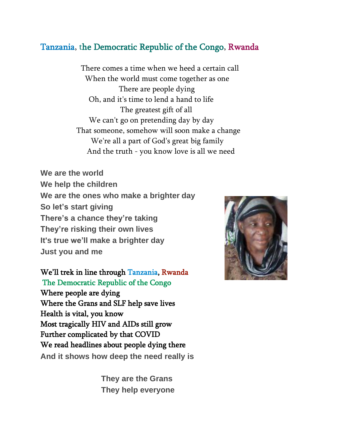## Tanzania, the Democratic Republic of the Congo, Rwanda

There comes a time when we heed a certain call When the world must come together as one There are people dying Oh, and it's time to lend a hand to life The greatest gift of all We can't go on pretending day by day That someone, somehow will soon make a change We're all a part of God's great big family And the truth - you know love is all we need

**We are the world We help the children We are the ones who make a brighter day So let's start giving There's a chance they're taking They're risking their own lives It's true we'll make a brighter day Just you and me**

We'll trek in line through Tanzania, Rwanda The Democratic Republic of the Congo Where people are dying Where the Grans and SLF help save lives Health is vital, you know Most tragically HIV and AIDs still grow Further complicated by that COVID We read headlines about people dying there **And it shows how deep the need really is**

> **They are the Grans They help everyone**

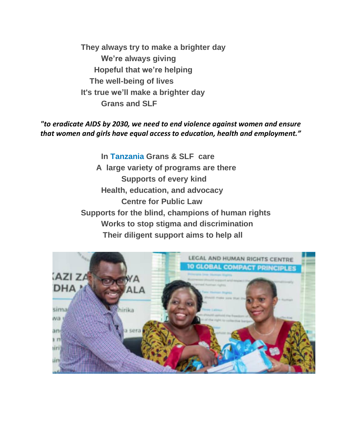**They always try to make a brighter day We're always giving Hopeful that we're helping The well-being of lives It's true we'll make a brighter day Grans and SLF**

## *"to eradicate AIDS by 2030, we need to end violence against women and ensure that women and girls have equal access to education, health and employment."*

**In Tanzania Grans & SLF care A large variety of programs are there Supports of every kind Health, education, and advocacy Centre for Public Law Supports for the blind, champions of human rights Works to stop stigma and discrimination Their diligent support aims to help all**

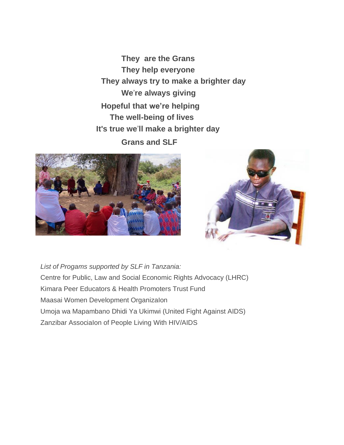**They are the Grans They help everyone They always try to make a brighter day We**'**re always giving Hopeful that we're helping The well-being of lives It's true we**'**ll make a brighter day Grans and SLF**





*List of Progams supported by SLF in Tanzania:* Centre for Public, Law and Social Economic Rights Advocacy (LHRC) Kimara Peer Educators & Health Promoters Trust Fund Maasai Women Development OrganizaIon Umoja wa Mapambano Dhidi Ya Ukimwi (United Fight Against AIDS) Zanzibar AssociaIon of People Living With HIV/AIDS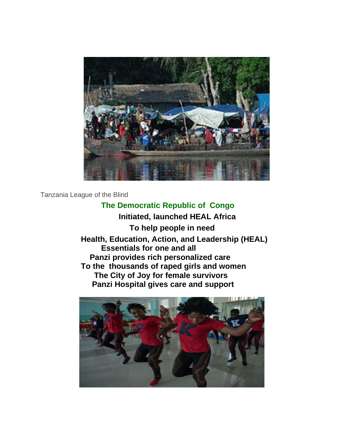

Tanzania League of the Blind

## **The Democratic Republic of Congo**

 **Initiated, launched HEAL Africa To help people in need Health, Education, Action, and Leadership (HEAL) Essentials for one and all Panzi provides rich personalized care To the thousands of raped girls and women The City of Joy for female survivors Panzi Hospital gives care and support**

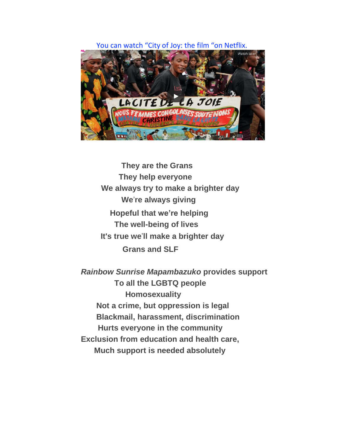## You can watch "City of Joy: the film "on Netflix.



**They are the Grans They help everyone We always try to make a brighter day We**'**re always giving Hopeful that we're helping The well-being of lives It's true we**'**ll make a brighter day Grans and SLF**

*Rainbow Sunrise Mapambazuko* **provides support To all the LGBTQ people Homosexuality Not a crime, but oppression is legal Blackmail, harassment, discrimination Hurts everyone in the community Exclusion from education and health care, Much support is needed absolutely**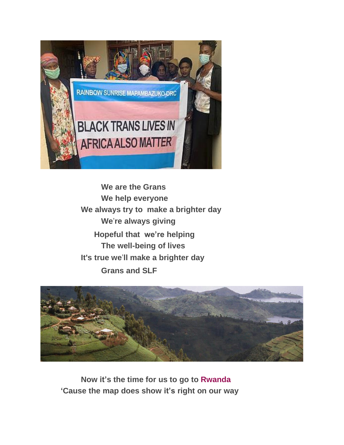

**We are the Grans We help everyone We always try to make a brighter day We**'**re always giving Hopeful that we're helping The well-being of lives It's true we**'**ll make a brighter day Grans and SLF**



**Now it's the time for us to go to Rwanda 'Cause the map does show it's right on our way**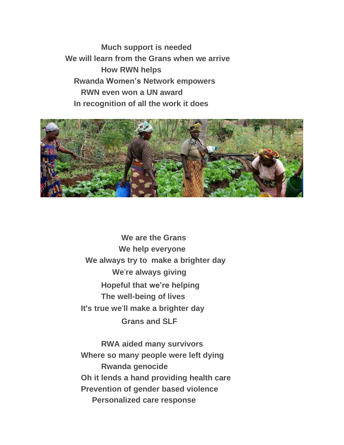**Much support is needed We will learn from the Grans when we arrive How RWN helps Rwanda Women's Network empowers RWN even won a UN award In recognition of all the work it does**



**We are the Grans We help everyone We always try to make a brighter day We**'**re always giving Hopeful that we're helping The well-being of lives It's true we**'**ll make a brighter day Grans and SLF**

**RWA aided many survivors Where so many people were left dying Rwanda genocide Oh it lends a hand providing health care Prevention of gender based violence Personalized care response**